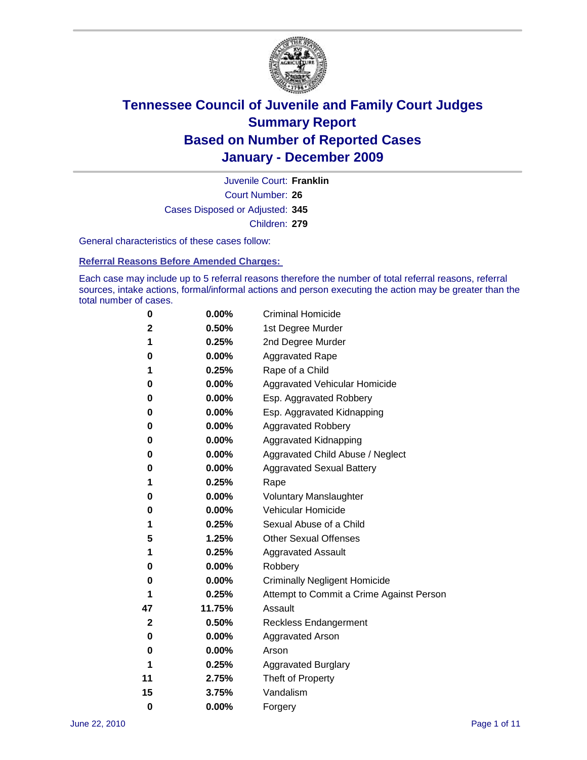

Court Number: **26** Juvenile Court: **Franklin** Cases Disposed or Adjusted: **345** Children: **279**

General characteristics of these cases follow:

**Referral Reasons Before Amended Charges:** 

Each case may include up to 5 referral reasons therefore the number of total referral reasons, referral sources, intake actions, formal/informal actions and person executing the action may be greater than the total number of cases.

| 0  | 0.00%    | <b>Criminal Homicide</b>                 |  |  |
|----|----------|------------------------------------------|--|--|
| 2  | 0.50%    | 1st Degree Murder                        |  |  |
| 1  | 0.25%    | 2nd Degree Murder                        |  |  |
| 0  | 0.00%    | <b>Aggravated Rape</b>                   |  |  |
| 1  | 0.25%    | Rape of a Child                          |  |  |
| 0  | 0.00%    | Aggravated Vehicular Homicide            |  |  |
| 0  | 0.00%    | Esp. Aggravated Robbery                  |  |  |
| 0  | 0.00%    | Esp. Aggravated Kidnapping               |  |  |
| 0  | 0.00%    | <b>Aggravated Robbery</b>                |  |  |
| 0  | 0.00%    | Aggravated Kidnapping                    |  |  |
| 0  | 0.00%    | Aggravated Child Abuse / Neglect         |  |  |
| 0  | $0.00\%$ | <b>Aggravated Sexual Battery</b>         |  |  |
| 1  | 0.25%    | Rape                                     |  |  |
| 0  | 0.00%    | <b>Voluntary Manslaughter</b>            |  |  |
| 0  | 0.00%    | Vehicular Homicide                       |  |  |
| 1  | 0.25%    | Sexual Abuse of a Child                  |  |  |
| 5  | 1.25%    | <b>Other Sexual Offenses</b>             |  |  |
| 1  | 0.25%    | <b>Aggravated Assault</b>                |  |  |
| 0  | $0.00\%$ | Robbery                                  |  |  |
| 0  | 0.00%    | <b>Criminally Negligent Homicide</b>     |  |  |
| 1  | 0.25%    | Attempt to Commit a Crime Against Person |  |  |
| 47 | 11.75%   | Assault                                  |  |  |
| 2  | 0.50%    | <b>Reckless Endangerment</b>             |  |  |
| 0  | 0.00%    | <b>Aggravated Arson</b>                  |  |  |
| 0  | 0.00%    | Arson                                    |  |  |
| 1  | 0.25%    | <b>Aggravated Burglary</b>               |  |  |
| 11 | 2.75%    | Theft of Property                        |  |  |
| 15 | 3.75%    | Vandalism                                |  |  |
| 0  | 0.00%    | Forgery                                  |  |  |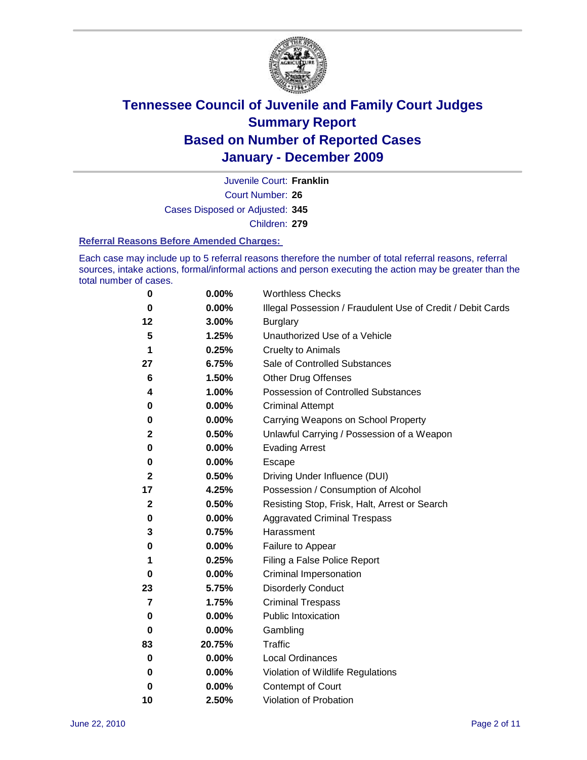

Court Number: **26** Juvenile Court: **Franklin** Cases Disposed or Adjusted: **345** Children: **279**

#### **Referral Reasons Before Amended Charges:**

Each case may include up to 5 referral reasons therefore the number of total referral reasons, referral sources, intake actions, formal/informal actions and person executing the action may be greater than the total number of cases.

| 0            | 0.00%  | <b>Worthless Checks</b>                                     |
|--------------|--------|-------------------------------------------------------------|
| 0            | 0.00%  | Illegal Possession / Fraudulent Use of Credit / Debit Cards |
| 12           | 3.00%  | <b>Burglary</b>                                             |
| 5            | 1.25%  | Unauthorized Use of a Vehicle                               |
| 1            | 0.25%  | <b>Cruelty to Animals</b>                                   |
| 27           | 6.75%  | Sale of Controlled Substances                               |
| 6            | 1.50%  | <b>Other Drug Offenses</b>                                  |
| 4            | 1.00%  | <b>Possession of Controlled Substances</b>                  |
| 0            | 0.00%  | <b>Criminal Attempt</b>                                     |
| 0            | 0.00%  | Carrying Weapons on School Property                         |
| 2            | 0.50%  | Unlawful Carrying / Possession of a Weapon                  |
| 0            | 0.00%  | <b>Evading Arrest</b>                                       |
| 0            | 0.00%  | Escape                                                      |
| 2            | 0.50%  | Driving Under Influence (DUI)                               |
| 17           | 4.25%  | Possession / Consumption of Alcohol                         |
| $\mathbf{2}$ | 0.50%  | Resisting Stop, Frisk, Halt, Arrest or Search               |
| 0            | 0.00%  | <b>Aggravated Criminal Trespass</b>                         |
| 3            | 0.75%  | Harassment                                                  |
| 0            | 0.00%  | Failure to Appear                                           |
| 1            | 0.25%  | Filing a False Police Report                                |
| 0            | 0.00%  | Criminal Impersonation                                      |
| 23           | 5.75%  | <b>Disorderly Conduct</b>                                   |
| 7            | 1.75%  | <b>Criminal Trespass</b>                                    |
| 0            | 0.00%  | <b>Public Intoxication</b>                                  |
| 0            | 0.00%  | Gambling                                                    |
| 83           | 20.75% | <b>Traffic</b>                                              |
| 0            | 0.00%  | <b>Local Ordinances</b>                                     |
| 0            | 0.00%  | Violation of Wildlife Regulations                           |
| 0            | 0.00%  | Contempt of Court                                           |
| 10           | 2.50%  | Violation of Probation                                      |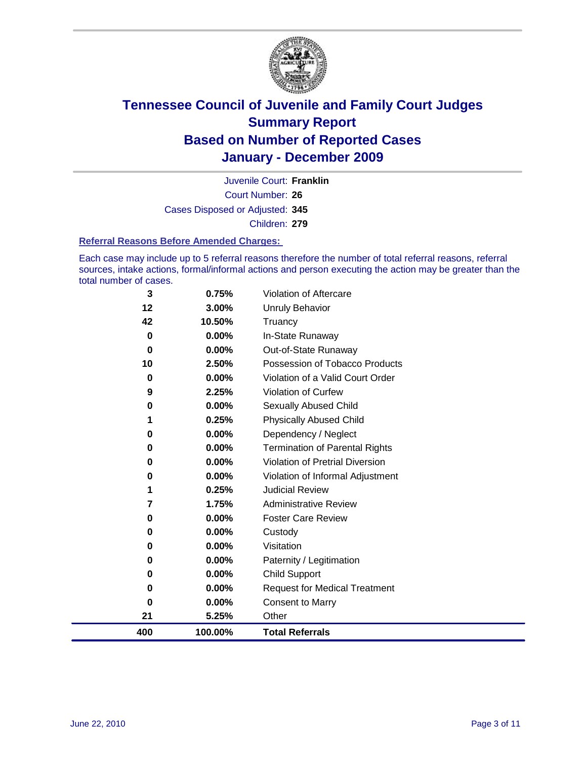

Court Number: **26** Juvenile Court: **Franklin** Cases Disposed or Adjusted: **345** Children: **279**

#### **Referral Reasons Before Amended Charges:**

Each case may include up to 5 referral reasons therefore the number of total referral reasons, referral sources, intake actions, formal/informal actions and person executing the action may be greater than the total number of cases.

| 400      | 100.00%           | <b>Total Referrals</b>                                        |
|----------|-------------------|---------------------------------------------------------------|
| 21       | 5.25%             | Other                                                         |
| 0        | 0.00%             | <b>Consent to Marry</b>                                       |
| 0        | $0.00\%$          | <b>Request for Medical Treatment</b>                          |
| 0        | 0.00%             | <b>Child Support</b>                                          |
| 0        | 0.00%             | Paternity / Legitimation                                      |
| 0        | 0.00%             | Visitation                                                    |
| 0        | 0.00%             | Custody                                                       |
| 0        | 0.00%             | <b>Foster Care Review</b>                                     |
| 7        | 1.75%             | <b>Administrative Review</b>                                  |
| 1        | 0.25%             | <b>Judicial Review</b>                                        |
| 0        | 0.00%             | Violation of Informal Adjustment                              |
| 0        | 0.00%             | <b>Violation of Pretrial Diversion</b>                        |
| $\bf{0}$ | 0.00%             | Dependency / Neglect<br><b>Termination of Parental Rights</b> |
| 1<br>0   | 0.00%             | <b>Physically Abused Child</b>                                |
| 0        | $0.00\%$<br>0.25% | <b>Sexually Abused Child</b>                                  |
| 9        | 2.25%             | Violation of Curfew                                           |
| 0        | $0.00\%$          | Violation of a Valid Court Order                              |
| 10       | 2.50%             | Possession of Tobacco Products                                |
| 0        | 0.00%             | Out-of-State Runaway                                          |
| 0        | 0.00%             | In-State Runaway                                              |
| 42       | 10.50%            | Truancy                                                       |
| 12       | 3.00%             | Unruly Behavior                                               |
| 3        | 0.75%             | Violation of Aftercare                                        |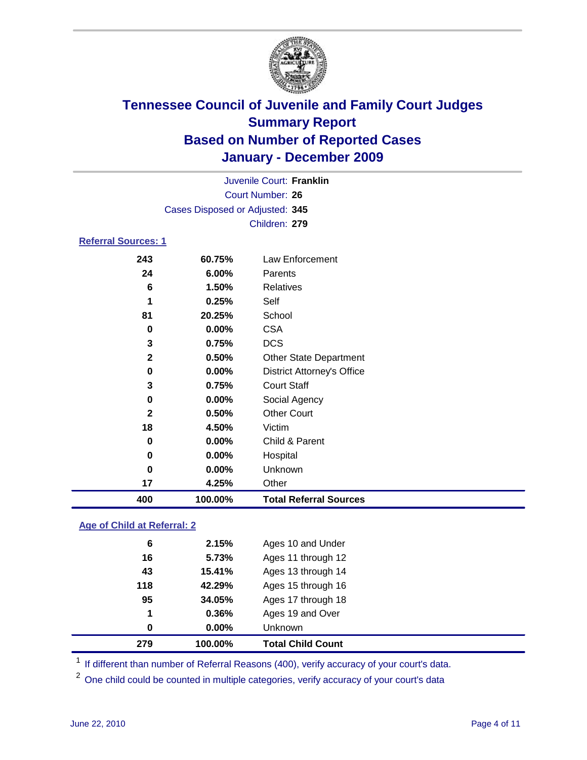

|                                 | Juvenile Court: Franklin |                                   |  |  |
|---------------------------------|--------------------------|-----------------------------------|--|--|
|                                 | Court Number: 26         |                                   |  |  |
| Cases Disposed or Adjusted: 345 |                          |                                   |  |  |
|                                 |                          | Children: 279                     |  |  |
| <b>Referral Sources: 1</b>      |                          |                                   |  |  |
| 243                             | 60.75%                   | Law Enforcement                   |  |  |
| 24                              | 6.00%                    | Parents                           |  |  |
| 6                               | 1.50%                    | Relatives                         |  |  |
| 1                               | 0.25%                    | Self                              |  |  |
| 81                              | 20.25%                   | School                            |  |  |
| 0                               | 0.00%                    | <b>CSA</b>                        |  |  |
| $\mathbf 3$                     | 0.75%                    | <b>DCS</b>                        |  |  |
| $\mathbf{2}$                    | 0.50%                    | <b>Other State Department</b>     |  |  |
| 0                               | $0.00\%$                 | <b>District Attorney's Office</b> |  |  |
| $\mathbf 3$                     | 0.75%                    | <b>Court Staff</b>                |  |  |
| $\mathbf 0$                     | $0.00\%$                 | Social Agency                     |  |  |
| $\mathbf{2}$                    | 0.50%                    | <b>Other Court</b>                |  |  |
| 18                              | 4.50%                    | Victim                            |  |  |
| 0                               | 0.00%                    | Child & Parent                    |  |  |
| 0                               | 0.00%                    | Hospital                          |  |  |
| $\mathbf 0$                     | 0.00%                    | Unknown                           |  |  |
| 17                              | 4.25%                    | Other                             |  |  |
| 400                             | 100.00%                  | <b>Total Referral Sources</b>     |  |  |
|                                 |                          |                                   |  |  |

### **Age of Child at Referral: 2**

| 0   | $0.00\%$ | Unknown            |
|-----|----------|--------------------|
| 1   | 0.36%    | Ages 19 and Over   |
| 95  | 34.05%   | Ages 17 through 18 |
| 118 | 42.29%   | Ages 15 through 16 |
| 43  | 15.41%   | Ages 13 through 14 |
| 16  | 5.73%    | Ages 11 through 12 |
| 6   | 2.15%    | Ages 10 and Under  |
|     |          |                    |

<sup>1</sup> If different than number of Referral Reasons (400), verify accuracy of your court's data.

<sup>2</sup> One child could be counted in multiple categories, verify accuracy of your court's data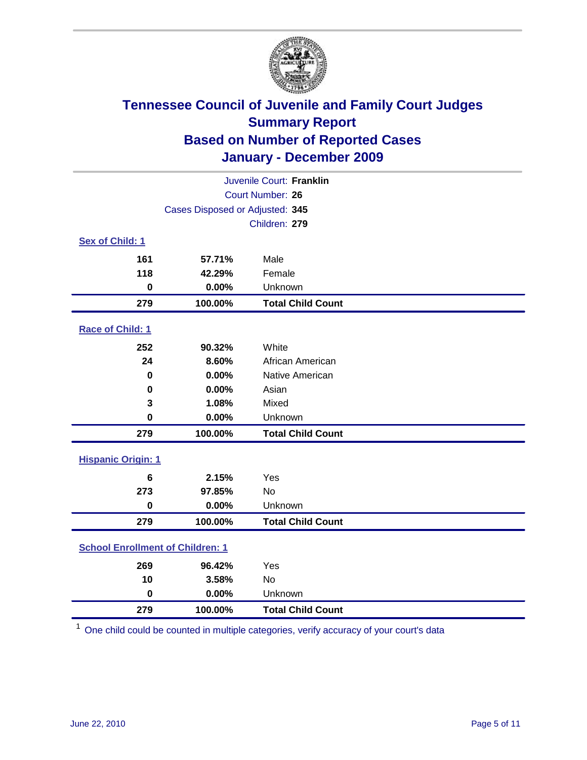

| Juvenile Court: Franklin                |                                 |                          |  |  |
|-----------------------------------------|---------------------------------|--------------------------|--|--|
| <b>Court Number: 26</b>                 |                                 |                          |  |  |
|                                         | Cases Disposed or Adjusted: 345 |                          |  |  |
|                                         |                                 | Children: 279            |  |  |
| Sex of Child: 1                         |                                 |                          |  |  |
| 161                                     | 57.71%                          | Male                     |  |  |
| 118                                     | 42.29%                          | Female                   |  |  |
| $\mathbf 0$                             | 0.00%                           | Unknown                  |  |  |
| 279                                     | 100.00%                         | <b>Total Child Count</b> |  |  |
| Race of Child: 1                        |                                 |                          |  |  |
| 252                                     | 90.32%                          | White                    |  |  |
| 24                                      | 8.60%                           | African American         |  |  |
| 0                                       | 0.00%                           | Native American          |  |  |
| 0                                       | 0.00%                           | Asian                    |  |  |
| 3                                       | 1.08%                           | Mixed                    |  |  |
| $\mathbf 0$                             | 0.00%                           | Unknown                  |  |  |
| 279                                     | 100.00%                         | <b>Total Child Count</b> |  |  |
| <b>Hispanic Origin: 1</b>               |                                 |                          |  |  |
| 6                                       | 2.15%                           | Yes                      |  |  |
| 273                                     | 97.85%                          | <b>No</b>                |  |  |
| $\mathbf 0$                             | 0.00%                           | Unknown                  |  |  |
| 279                                     | 100.00%                         | <b>Total Child Count</b> |  |  |
| <b>School Enrollment of Children: 1</b> |                                 |                          |  |  |
| 269                                     | 96.42%                          | Yes                      |  |  |
| 10                                      | 3.58%                           | No                       |  |  |
| $\mathbf 0$                             | 0.00%                           | Unknown                  |  |  |
| 279                                     | 100.00%                         | <b>Total Child Count</b> |  |  |

One child could be counted in multiple categories, verify accuracy of your court's data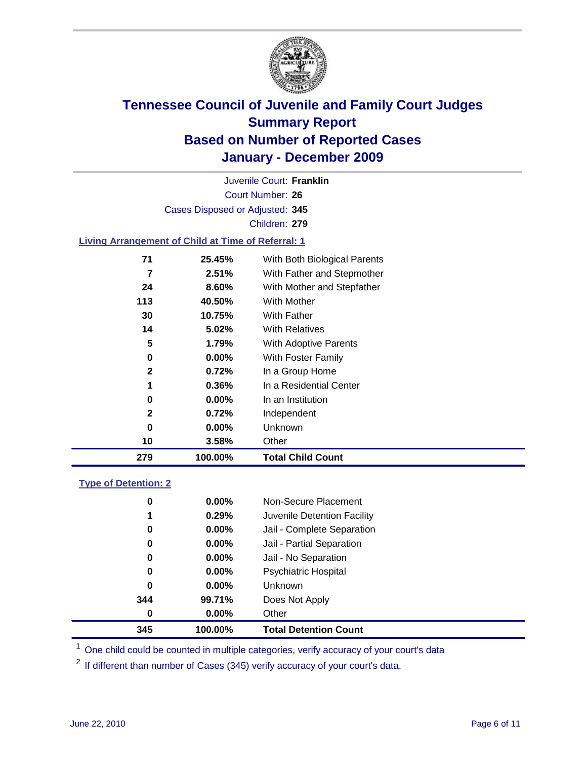

Court Number: **26** Juvenile Court: **Franklin** Cases Disposed or Adjusted: **345** Children: **279**

### **Living Arrangement of Child at Time of Referral: 1**

| 279 | 100.00%  | <b>Total Child Count</b>     |
|-----|----------|------------------------------|
| 10  | 3.58%    | Other                        |
| 0   | $0.00\%$ | Unknown                      |
| 2   | 0.72%    | Independent                  |
| 0   | 0.00%    | In an Institution            |
| 1   | 0.36%    | In a Residential Center      |
| 2   | 0.72%    | In a Group Home              |
| 0   | $0.00\%$ | With Foster Family           |
| 5   | 1.79%    | With Adoptive Parents        |
| 14  | 5.02%    | <b>With Relatives</b>        |
| 30  | 10.75%   | <b>With Father</b>           |
| 113 | 40.50%   | With Mother                  |
| 24  | 8.60%    | With Mother and Stepfather   |
| 7   | 2.51%    | With Father and Stepmother   |
| 71  | 25.45%   | With Both Biological Parents |

### **Type of Detention: 2**

| 345      | 100.00%  | <b>Total Detention Count</b> |
|----------|----------|------------------------------|
| 0        | $0.00\%$ | Other                        |
| 344      | 99.71%   | Does Not Apply               |
| 0        | 0.00%    | <b>Unknown</b>               |
| 0        | 0.00%    | <b>Psychiatric Hospital</b>  |
| $\bf{0}$ | 0.00%    | Jail - No Separation         |
| 0        | $0.00\%$ | Jail - Partial Separation    |
| 0        | $0.00\%$ | Jail - Complete Separation   |
| 1        | 0.29%    | Juvenile Detention Facility  |
| 0        | $0.00\%$ | Non-Secure Placement         |
|          |          |                              |

<sup>1</sup> One child could be counted in multiple categories, verify accuracy of your court's data

<sup>2</sup> If different than number of Cases (345) verify accuracy of your court's data.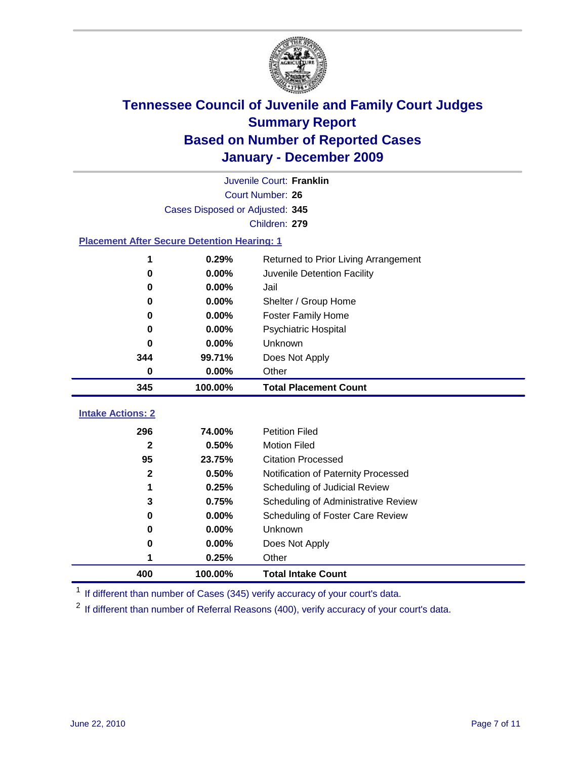

|                                                    | Juvenile Court: Franklin        |                                      |  |  |
|----------------------------------------------------|---------------------------------|--------------------------------------|--|--|
|                                                    | Court Number: 26                |                                      |  |  |
|                                                    | Cases Disposed or Adjusted: 345 |                                      |  |  |
|                                                    |                                 | Children: 279                        |  |  |
| <b>Placement After Secure Detention Hearing: 1</b> |                                 |                                      |  |  |
| 1                                                  | 0.29%                           | Returned to Prior Living Arrangement |  |  |
| 0                                                  | 0.00%                           | Juvenile Detention Facility          |  |  |
| $\bf{0}$                                           | 0.00%                           | Jail                                 |  |  |
| $\bf{0}$                                           | 0.00%                           | Shelter / Group Home                 |  |  |
| 0                                                  | 0.00%                           | <b>Foster Family Home</b>            |  |  |
| $\bf{0}$                                           | 0.00%                           | Psychiatric Hospital                 |  |  |
| 0                                                  | 0.00%                           | Unknown                              |  |  |
| 344                                                | 99.71%                          | Does Not Apply                       |  |  |
| 0                                                  | 0.00%                           | Other                                |  |  |
| 345                                                | 100.00%                         | <b>Total Placement Count</b>         |  |  |
|                                                    |                                 |                                      |  |  |
| <b>Intake Actions: 2</b>                           |                                 |                                      |  |  |
| 296                                                | 74.00%                          | <b>Petition Filed</b>                |  |  |
| $\mathbf{2}$                                       | 0.50%                           | <b>Motion Filed</b>                  |  |  |
| 95                                                 | 23.75%                          | <b>Citation Processed</b>            |  |  |
| $\mathbf{2}$                                       | 0.50%                           | Notification of Paternity Processed  |  |  |
| 1                                                  | 0.25%                           | Scheduling of Judicial Review        |  |  |
| 3                                                  | 0.75%                           | Scheduling of Administrative Review  |  |  |
| 0                                                  | 0.00%                           | Scheduling of Foster Care Review     |  |  |
| $\bf{0}$                                           | 0.00%                           | Unknown                              |  |  |
| 0                                                  | 0.00%                           | Does Not Apply                       |  |  |
|                                                    | 0.25%                           | Other                                |  |  |
| 400                                                | 100.00%                         | <b>Total Intake Count</b>            |  |  |

<sup>1</sup> If different than number of Cases (345) verify accuracy of your court's data.

<sup>2</sup> If different than number of Referral Reasons (400), verify accuracy of your court's data.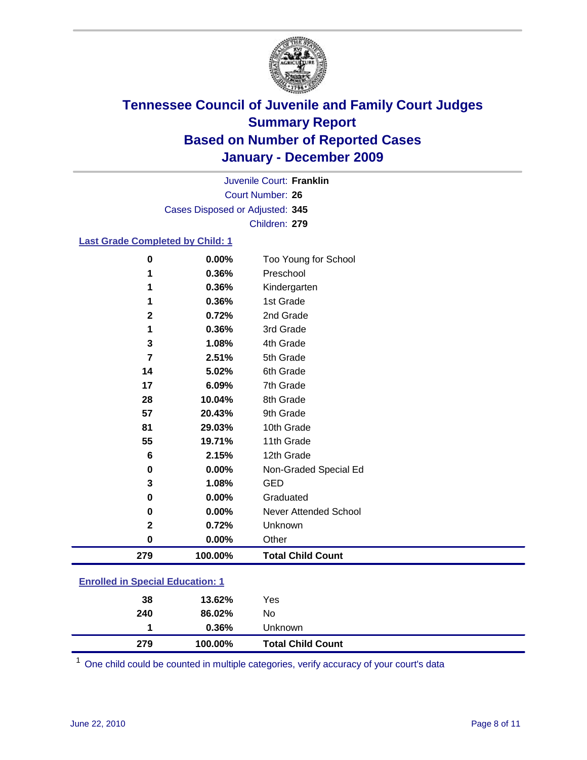

Court Number: **26** Juvenile Court: **Franklin** Cases Disposed or Adjusted: **345** Children: **279**

### **Last Grade Completed by Child: 1**

| $\bf{0}$                                | 0.00%   | Too Young for School         |  |
|-----------------------------------------|---------|------------------------------|--|
| 1                                       | 0.36%   | Preschool                    |  |
| 1                                       | 0.36%   | Kindergarten                 |  |
|                                         | 0.36%   | 1st Grade                    |  |
| $\mathbf{2}$                            | 0.72%   | 2nd Grade                    |  |
| 1                                       | 0.36%   | 3rd Grade                    |  |
| 3                                       | 1.08%   | 4th Grade                    |  |
| 7                                       | 2.51%   | 5th Grade                    |  |
| 14                                      | 5.02%   | 6th Grade                    |  |
| 17                                      | 6.09%   | 7th Grade                    |  |
| 28                                      | 10.04%  | 8th Grade                    |  |
| 57                                      | 20.43%  | 9th Grade                    |  |
| 81                                      | 29.03%  | 10th Grade                   |  |
| 55                                      | 19.71%  | 11th Grade                   |  |
| 6                                       | 2.15%   | 12th Grade                   |  |
| 0                                       | 0.00%   | Non-Graded Special Ed        |  |
| 3                                       | 1.08%   | <b>GED</b>                   |  |
| 0                                       | 0.00%   | Graduated                    |  |
| 0                                       | 0.00%   | <b>Never Attended School</b> |  |
| $\mathbf{2}$                            | 0.72%   | Unknown                      |  |
| 0                                       | 0.00%   | Other                        |  |
| 279                                     | 100.00% | <b>Total Child Count</b>     |  |
| <b>Enrolled in Special Education: 1</b> |         |                              |  |

| 279 | 100.00% | <b>Total Child Count</b> |  |
|-----|---------|--------------------------|--|
|     | 0.36%   | Unknown                  |  |
| 240 | 86.02%  | No                       |  |
| 38  | 13.62%  | Yes                      |  |
|     |         |                          |  |

One child could be counted in multiple categories, verify accuracy of your court's data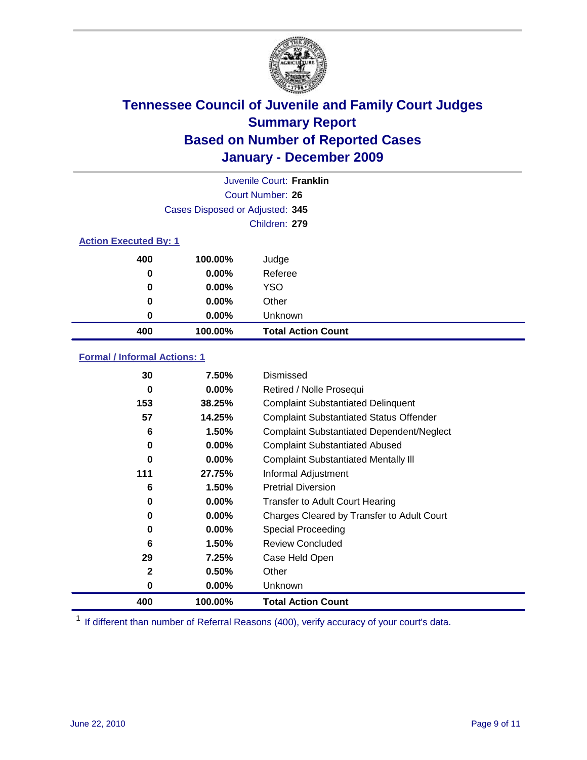

|                              | Juvenile Court: Franklin        |                           |  |  |
|------------------------------|---------------------------------|---------------------------|--|--|
|                              | Court Number: 26                |                           |  |  |
|                              | Cases Disposed or Adjusted: 345 |                           |  |  |
|                              |                                 | Children: 279             |  |  |
| <b>Action Executed By: 1</b> |                                 |                           |  |  |
| 400                          | 100.00%                         | Judge                     |  |  |
| 0                            | 0.00%                           | Referee                   |  |  |
| 0                            | 0.00%                           | <b>YSO</b>                |  |  |
| 0                            | $0.00\%$                        | Other                     |  |  |
| 0                            | 0.00%                           | Unknown                   |  |  |
| 400                          | 100.00%                         | <b>Total Action Count</b> |  |  |

### **Formal / Informal Actions: 1**

| 30           | 7.50%    | Dismissed                                        |
|--------------|----------|--------------------------------------------------|
| 0            | $0.00\%$ | Retired / Nolle Prosequi                         |
| 153          | 38.25%   | <b>Complaint Substantiated Delinquent</b>        |
| 57           | 14.25%   | <b>Complaint Substantiated Status Offender</b>   |
| 6            | 1.50%    | <b>Complaint Substantiated Dependent/Neglect</b> |
| 0            | $0.00\%$ | <b>Complaint Substantiated Abused</b>            |
| 0            | $0.00\%$ | <b>Complaint Substantiated Mentally III</b>      |
| 111          | 27.75%   | Informal Adjustment                              |
| 6            | 1.50%    | <b>Pretrial Diversion</b>                        |
| 0            | $0.00\%$ | <b>Transfer to Adult Court Hearing</b>           |
| 0            | $0.00\%$ | Charges Cleared by Transfer to Adult Court       |
| 0            | $0.00\%$ | Special Proceeding                               |
| 6            | 1.50%    | <b>Review Concluded</b>                          |
| 29           | 7.25%    | Case Held Open                                   |
| $\mathbf{2}$ | 0.50%    | Other                                            |
| 0            | $0.00\%$ | Unknown                                          |
| 400          | 100.00%  | <b>Total Action Count</b>                        |

<sup>1</sup> If different than number of Referral Reasons (400), verify accuracy of your court's data.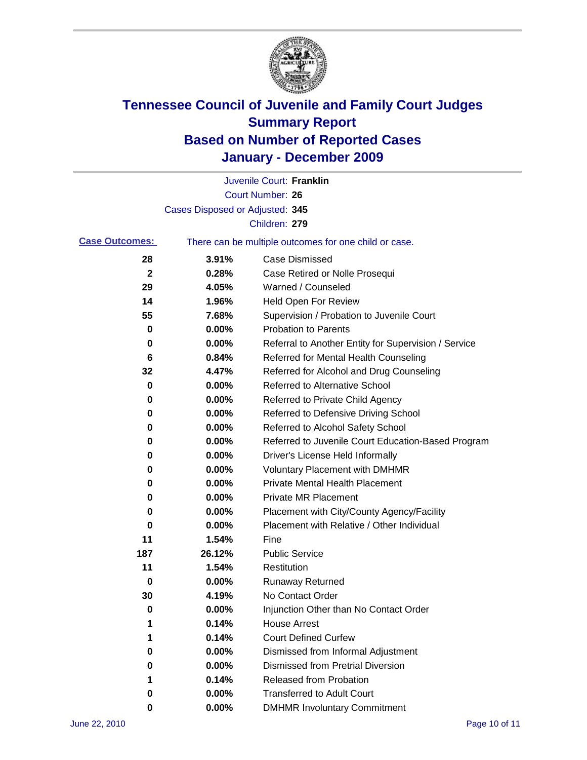

|                       |                                 | Juvenile Court: Franklin                              |
|-----------------------|---------------------------------|-------------------------------------------------------|
|                       |                                 | <b>Court Number: 26</b>                               |
|                       | Cases Disposed or Adjusted: 345 |                                                       |
|                       |                                 | Children: 279                                         |
| <b>Case Outcomes:</b> |                                 | There can be multiple outcomes for one child or case. |
| 28                    | 3.91%                           | <b>Case Dismissed</b>                                 |
| $\mathbf 2$           | 0.28%                           | Case Retired or Nolle Prosequi                        |
| 29                    | 4.05%                           | Warned / Counseled                                    |
| 14                    | 1.96%                           | Held Open For Review                                  |
| 55                    | 7.68%                           | Supervision / Probation to Juvenile Court             |
| 0                     | 0.00%                           | <b>Probation to Parents</b>                           |
| 0                     | 0.00%                           | Referral to Another Entity for Supervision / Service  |
| 6                     | 0.84%                           | Referred for Mental Health Counseling                 |
| 32                    | 4.47%                           | Referred for Alcohol and Drug Counseling              |
| 0                     | 0.00%                           | <b>Referred to Alternative School</b>                 |
| 0                     | 0.00%                           | Referred to Private Child Agency                      |
| 0                     | 0.00%                           | Referred to Defensive Driving School                  |
| 0                     | 0.00%                           | Referred to Alcohol Safety School                     |
| 0                     | 0.00%                           | Referred to Juvenile Court Education-Based Program    |
| 0                     | 0.00%                           | Driver's License Held Informally                      |
| 0                     | 0.00%                           | <b>Voluntary Placement with DMHMR</b>                 |
| 0                     | 0.00%                           | <b>Private Mental Health Placement</b>                |
| 0                     | 0.00%                           | <b>Private MR Placement</b>                           |
| 0                     | 0.00%                           | Placement with City/County Agency/Facility            |
| 0                     | 0.00%                           | Placement with Relative / Other Individual            |
| 11                    | 1.54%                           | Fine                                                  |
| 187                   | 26.12%                          | <b>Public Service</b>                                 |
| 11                    | 1.54%                           | Restitution                                           |
| 0                     | 0.00%                           | Runaway Returned                                      |
| 30                    | 4.19%                           | No Contact Order                                      |
| 0                     | 0.00%                           | Injunction Other than No Contact Order                |
|                       | 0.14%                           | <b>House Arrest</b>                                   |
| 1                     | 0.14%                           | <b>Court Defined Curfew</b>                           |
| 0                     | 0.00%                           | Dismissed from Informal Adjustment                    |
| 0                     | 0.00%                           | <b>Dismissed from Pretrial Diversion</b>              |
| 1                     | 0.14%                           | Released from Probation                               |
| 0                     | 0.00%                           | <b>Transferred to Adult Court</b>                     |
| 0                     | $0.00\%$                        | <b>DMHMR Involuntary Commitment</b>                   |